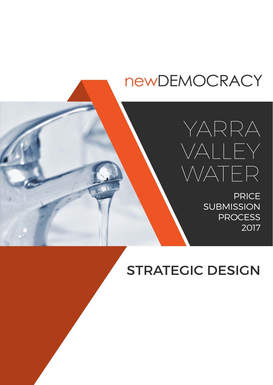# newDEMOCRACY



**PRICE SUBMISSION PROCESS** 2017

STRATEGIC DESIGN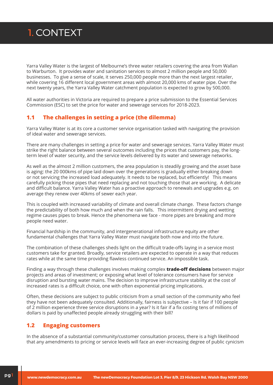Yarra Valley Water is the largest of Melbourne's three water retailers covering the area from Wallan to Warburton. It provides water and sanitation services to almost 2 million people and 50,000 businesses. To give a sense of scale, it serves 250,000 people more than the next largest retailer, while covering 16 different local government areas with almost 20,000 kms of water pipe. Over the next twenty years, the Yarra Valley Water catchment population is expected to grow by 500,000.

All water authorities in Victoria are required to prepare a price submission to the Essential Services Commission (ESC) to set the price for water and sewerage services for 2018-2023.

#### **1.1 The challenges in setting a price (the dilemma)**

Yarra Valley Water is at its core a customer service organisation tasked with navigating the provision of ideal water and sewerage services.

There are many challenges in setting a price for water and sewerage services. Yarra Valley Water must strike the right balance between several outcomes including the prices that customers pay, the longterm level of water security, and the service levels delivered by its water and sewerage networks.

As well as the almost 2 million customers, the area population is steadily growing and the asset base is aging: the 20 000kms of pipe laid down over the generations is gradually either breaking down or not servicing the increased load adequately. It needs to be replaced, but efficiently! This means carefully picking those pipes that need replacing and not touching those that are working. A delicate and difficult balance. Yarra Valley Water has a proactive approach to renewals and upgrades e.g. on average they renew over 40kms of sewer each year.

This is coupled with increased variability of climate and overall climate change. These factors change the predictability of both how much and when the rain falls. This intermittent drying and wetting regime causes pipes to break. Hence the phenomena we face - more pipes are breaking and more people need water.

Financial hardship in the community, and intergenerational infrastructure equity are other fundamental challenges that Yarra Valley Water must navigate both now and into the future.

The combination of these challenges sheds light on the difficult trade-offs laying in a service most customers take for granted. Broadly, service retailers are expected to operate in a way that reduces rates while at the same time providing flawless continued service. An impossible task.

Finding a way through these challenges involves making complex **trade-off decisions** between major projects and areas of investment; or exposing what level of tolerance consumers have for service disruption and bursting water mains. The decision to improve infrastructure stability at the cost of increased rates is a difficult choice, one with often exponential pricing implications.

Often, these decisions are subject to public criticism from a small section of the community who feel they have not been adequately consulted. Additionally, fairness is subjective – Is it fair if 100 people of 2 million experience three service disruptions in a year? Is it fair if a fix costing tens of millions of dollars is paid by unaffected people already struggling with their bill?

#### **1.2 Engaging customers**

In the absence of a substantial community/customer consultation process, there is a high likelihood that any amendments to pricing or service levels will face an ever-increasing degree of public cynicism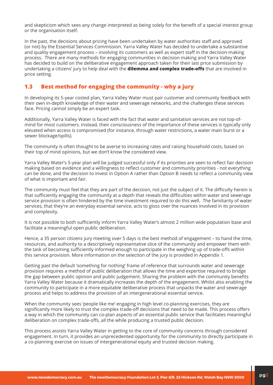and skepticism which sees any change interpreted as being solely for the benefit of a special interest group or the organisation itself.

In the past, the decisions about pricing have been undertaken by water authorities staff and approved (or not) by the Essential Services Commission. Yarra Valley Water has decided to undertake a substantive and quality engagement process – involving its customers as well as expert staff in the decision-making process. There are many methods for engaging communities in decision making and Yarra Valley Water has decided to build on the deliberative engagement approach taken for their last price submission by undertaking a citizens' jury to help deal with the **dilemma and complex trade-offs** that are involved in price setting.

#### **1.3 Best method for engaging the community - why a jury**

In developing its 5-year costed plan, Yarra Valley Water must pair customer and community feedback with their own in-depth knowledge of their water and sewerage networks, and the challenges these services face. Pricing cannot simply be an expert task.

Additionally, Yarra Valley Water is faced with the fact that water and sanitation services are not top-ofmind for most customers. Instead, their consciousness of the importance of these services is typically only elevated when access is compromised (for instance, through water restrictions, a water main burst or a sewer blockage/spills).

The community is often thought to be averse to increasing rates and raising household costs, based on their top of mind opinions, but we don't know the considered view.

Yarra Valley Water's 5-year plan will be judged successful only if its priorities are seen to reflect fair decision making based on evidence and a willingness to reflect customer and community priorities - not everything can be done, and the decision to invest in Option A rather than Option B needs to reflect a community view of what is important and fair.

The community must feel that they are part of the decision, not just the subject of it. The difficulty herein is that sufficiently engaging the community at a depth that reveals the difficulties within water and sewerage service provision is often hindered by the time investment required to do this well. The familiarity of water services, that they're an everyday essential service, acts to gloss over the nuances involved in its provision and complexity.

It is not possible to both sufficiently inform Yarra Valley Water's almost 2 million wide population base and facilitate a meaningful open public deliberation.

Hence, a 35 person citizens jury meeting over 5 days is the best method of engagement – to hand the time, resources, and authority to a descriptively representative slice of the community and empower them with the task of becoming sufficiently informed enough to participate in the weighing up of trade-offs within this service provision. More information on the selection of the jury is provided in Appendix 1.

Getting past the default 'something for nothing' frame of reference that surrounds water and sewerage provision requires a method of public deliberation that allows the time and expertise required to bridge the gap between public opinion and public judgement. Sharing the problem with the community benefits Yarra Valley Water because it dramatically increases the depth of the engagement. Whilst also enabling the community to participate in a more equitable deliberative process that unpacks the water and sewerage process and helps to address the provision of an intergenerational essential service.

When the community sees 'people like me' engaging in high level co-planning exercises, they are significantly more likely to trust the complex trade-off decisions that need to be made. This process offers a way in which the community can co-plan aspects of an essential public service that facilitates meaningful deliberation on complex trade-offs, all the while producing a trusted public decision.

This process assists Yarra Valley Water in getting to the core of community concerns through considered engagement. In turn, it provides an unprecedented opportunity for the community to directly participate in a co-planning exercise on issues of intergenerational equity and trusted decision making.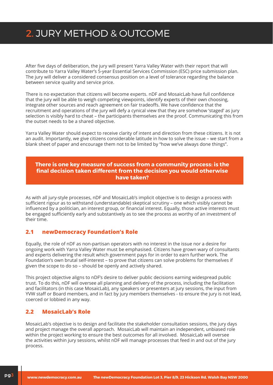### 2. Jury Method & Outcome

After five days of deliberation, the jury will present Yarra Valley Water with their report that will contribute to Yarra Valley Water's 5-year Essential Services Commission (ESC) price submission plan. The jury will deliver a considered consensus position on a level of tolerance regarding the balance between service quality and service price.

There is no expectation that citizens will become experts. nDF and MosaicLab have full confidence that the jury will be able to weigh competing viewpoints, identify experts of their own choosing, integrate other sources and reach agreement on fair tradeoffs. We have confidence that the recruitment and operations of the jury will defy a cynical view that they are somehow 'staged' as jury selection is visibly hard to cheat – the participants themselves are the proof. Communicating this from the outset needs to be a shared objective.

Yarra Valley Water should expect to receive clarity of intent and direction from these citizens. It is not an audit. Importantly, we give citizens considerable latitude in how to solve the issue – we start from a blank sheet of paper and encourage them not to be limited by "how we've always done things".

#### **There is one key measure of success from a community process: is the final decision taken different from the decision you would otherwise have taken?**

As with all jury-style processes, nDF and MosaicLab's implicit objective is to design a process with sufficient rigour as to withstand (understandable) skeptical scrutiny – one which visibly cannot be influenced by a politician, an interest group, or financial interest. Equally, those active interests must be engaged sufficiently early and substantively as to see the process as worthy of an investment of their time.

#### **2.1 newDemocracy Foundation's Role**

Equally, the role of nDF as non-partisan operators with no interest in the issue nor a desire for ongoing work with Yarra Valley Water must be emphasised. Citizens have grown wary of consultants and experts delivering the result which government pays for in order to earn further work. The Foundation's own brutal self-interest – to prove that citizens can solve problems for themselves if given the scope to do so – should be openly and actively shared.

This project objective aligns to nDF's desire to deliver public decisions earning widespread public trust. To do this, nDF will oversee all planning and delivery of the process, including the facilitation and facilitators (in this case MosaicLab), any speakers or presenters at jury sessions, the input from YVW staff or Board members, and in fact by jury members themselves - to ensure the jury is not lead, coerced or lobbied in any way.

#### **2.2 MosaicLab's Role**

MosaicLab's objective is to design and facilitate the stakeholder consultation sessions, the jury days and project manage the overall approach. MosaicLab will maintain an independent, unbiased role within the project working to ensure the best outcomes for all involved. MosaicLab will oversee the activities within jury sessions, whilst nDF will manage processes that feed in and out of the jury process.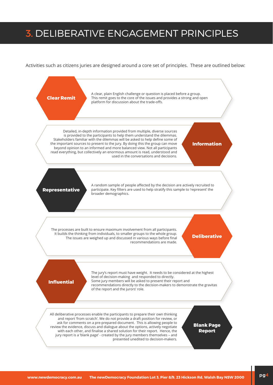### 3. Deliberative Engagement Principles

Activities such as citizens juries are designed around a core set of principles. These are outlined below:

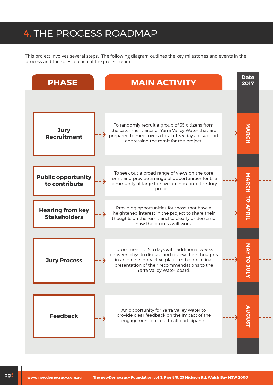### 4. The Process Roadmap

This project involves several steps. The following diagram outlines the key milestones and events in the process and the roles of each of the project team.

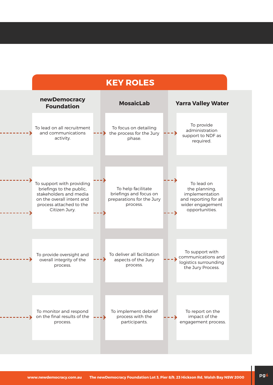### **Key Roles**

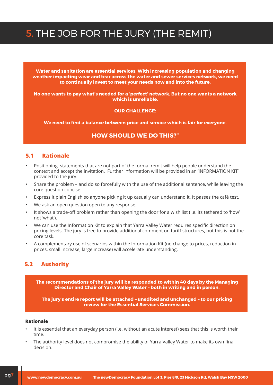## 5. The Job for the Jury (The Remit)

**Water and sanitation are essential services. With increasing population and changing weather impacting wear and tear across the water and sewer services network, we need to continually invest to meet your needs now and into the future.** 

**No one wants to pay what's needed for a 'perfect' network. But no one wants a network which is unreliable.**

#### **Our challenge:**

**We need to find a balance between price and service which is fair for everyone.**

#### **How should we do this?"**

#### **5.1 Rationale**

- Positioning statements that are not part of the formal remit will help people understand the context and accept the invitation. Further information will be provided in an 'INFORMATION KIT' provided to the jury.
- Share the problem and do so forcefully with the use of the additional sentence, while leaving the core question concise.
- Express it plain English so anyone picking it up casually can understand it. It passes the café test.
- We ask an open question open to any response.
- It shows a trade-off problem rather than opening the door for a wish list (i.e. its tethered to 'how' not 'what').
- We can use the Information Kit to explain that Yarra Valley Water requires specific direction on pricing levels. The jury is free to provide additional comment on tariff structures, but this is not the core task.
- A complementary use of scenarios within the Information Kit (no change to prices, reduction in prices, small increase, large increase) will accelerate understanding.

#### **5.2 Authority**

**The recommendations of the jury will be responded to within 40 days by the Managing Director and Chair of Yarra Valley Water – both in writing and in person.**

**The jury's entire report will be attached – unedited and unchanged – to our pricing review for the Essential Services Commission.**

#### **Rationale**

- It is essential that an everyday person (i.e. without an acute interest) sees that this is worth their time.
- The authority level does not compromise the ability of Yarra Valley Water to make its own final decision.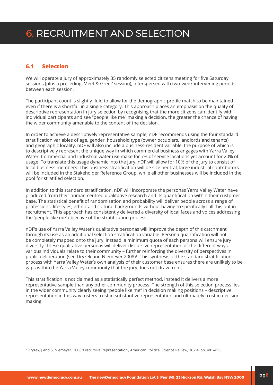#### **6.1 Selection**

We will operate a jury of approximately 35 randomly selected citizens meeting for five Saturday sessions (plus a preceding 'Meet & Greet' session), interspersed with two-week intervening periods between each session.

The participant count is slightly fluid to allow for the demographic profile match to be maintained even if there is a shortfall in a single category. This approach places an emphasis on the quality of descriptive representation in jury selection by recognising that the more citizens can identify with individual participants and see "people like me" making a decision, the greater the chance of having the wider community amenable to the content of the decision.

In order to achieve a descriptively representative sample, nDF recommends using the four standard stratification variables of age, gender, household type (owner occupiers, landlords and tenants) and geographic locality. nDF will also include a business-resident variable, the purpose of which is to descriptively represent the unique way in which commercial business engages with Yarra Valley Water. Commercial and Industrial water use make for 7% of service locations yet account for 20% of usage. To translate this usage dynamic into the jury, nDF will allow for 10% of the jury to consist of local business members. This business stratification will be size neutral, large industrial contributors will be included in the Stakeholder Reference Group, while all other businesses will be included in the pool for stratified selection.

In addition to this standard stratification, nDF will incorporate the personas Yarra Valley Water have produced from their human-centred qualitative research and its quantification within their customer base. The statistical benefit of randomisation and probability will deliver people across a range of professions, lifestyles, ethnic and cultural backgrounds without having to specifically call this out in recruitment. This approach has consistently delivered a diversity of local faces and voices addressing the 'people like me' objective of the stratification process.

nDF's use of Yarra Valley Water's qualitative personas will improve the depth of this catchment through its use as an additional selection stratification variable. Persona quantification will not be completely mapped onto the jury, instead, a minimum quota of each persona will ensure jury diversity. These qualitative personas will deliver discursive representation of the different ways various individuals relate to their community – further reinforcing the diversity of perspectives in public deliberation (see Dryzek and Niemeyer 2008)<sup>1</sup>. This synthesis of the standard stratification process with Yarra Valley Water's own analysis of their customer base ensures there are unlikely to be gaps within the Yarra Valley community that the jury does not draw from.

This stratification is not claimed as a statistically perfect method, instead it delivers a more representative sample than any other community process. The strength of this selection process lies in the wider community clearly seeing "people like me" in decision making positions – descriptive representation in this way fosters trust in substantive representation and ultimately trust in decision making.

1 Dryzek, J and S. Niemeyer. 2008 'Discursive Representation', American Political Science Review, 102:4, pp. 481-493.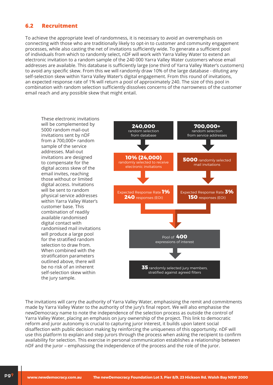#### **6.2 Recruitment**

To achieve the appropriate level of randomness, it is necessary to avoid an overemphasis on connecting with those who are traditionally likely to opt-in to customer and community engagement processes, while also casting the net of invitations sufficiently wide. To generate a sufficient pool of individuals from which to randomly select, nDF will work with Yarra Valley Water to extend an electronic invitation to a random sample of the 240 000 Yarra Valley Water customers whose email addresses are available. This database is sufficiently large (one third of Yarra Valley Water's customers) to avoid any specific skew. From this we will randomly draw 10% of the large database - diluting any self-selection skew within Yarra Valley Water's digital engagement. From this round of invitations, an expected response rate of 1% will return a pool of approximately 240. The size of this pool in combination with random selection sufficiently dissolves concerns of the narrowness of the customer email reach and any possible skew that might entail.

These electronic invitations will be complemented by 5000 random mail-out invitations sent by nDF from a 700,000+ random sample of the service addresses. Mail-out invitations are designed to compensate for the digital access skew of the email invites, reaching those without or limited digital access. Invitations will be sent to random physical service addresses within Yarra Valley Water's customer base. This combination of readily available randomised digital contact with randomised mail invitations will produce a large pool for the stratified random selection to draw from. When combined with the stratification parameters outlined above, there will be no risk of an inherent self-selection skew within the jury sample.



The invitations will carry the authority of Yarra Valley Water, emphasising the remit and commitments made by Yarra Valley Water to the authority of the jury's final report. We will also emphasise the newDemocracy name to note the independence of the selection process as outside the control of Yarra Valley Water, placing an emphasis on jury ownership of the project. This link to democratic reform and juror autonomy is crucial to capturing juror interest, it builds upon latent social disaffection with public decision making by reinforcing the uniqueness of this opportunity. nDF will use this platform to explain and step jurors through the process when asking the recipient to confirm availability for selection. This exercise in personal communication establishes a relationship between nDF and the juror – emphasising the independence of the process and the role of the juror.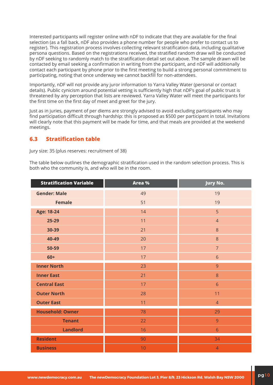Interested participants will register online with nDF to indicate that they are available for the final selection (as a fall back, nDF also provides a phone number for people who prefer to contact us to register). This registration process involves collecting relevant stratification data, including qualitative persona questions. Based on the registrations received, the stratified random draw will be conducted by nDF seeking to randomly match to the stratification detail set out above. The sample drawn will be contacted by email seeking a confirmation in writing from the participant, and nDF will additionally contact each participant by phone prior to the first meeting to build a strong personal commitment to participating, noting that once underway we cannot backfill for non-attendees.

Importantly, nDF will not provide any juror information to Yarra Valley Water (personal or contact details). Public cynicism around potential vetting is sufficiently high that nDF's goal of public trust is threatened by any perception that lists are reviewed. Yarra Valley Water will meet the participants for the first time on the first day of meet and greet for the jury.

Just as in juries, payment of per diems are strongly advised to avoid excluding participants who may find participation difficult through hardship: this is proposed as \$500 per participant in total. Invitations will clearly note that this payment will be made for time, and that meals are provided at the weekend meetings.

#### **6.3 Stratification table**

Jury size: 35 (plus reserves: recruitment of 38)

The table below outlines the demographic stratification used in the random selection process. This is both who the community is, and who will be in the room.

| <b>Stratification Variable</b> | Area % | <b>Jury No.</b> |
|--------------------------------|--------|-----------------|
| <b>Gender: Male</b>            | 49     | 19              |
| <b>Female</b>                  | 51     | 19              |
| <b>Age: 18-24</b>              | 14     | 5               |
| $25 - 29$                      | 11     | $\overline{4}$  |
| 30-39                          | 21     | 8               |
| 40-49                          | 20     | 8               |
| 50-59                          | 17     | $\overline{7}$  |
| $60+$                          | 17     | 6               |
| <b>Inner North</b>             | 23     | 9               |
| <b>Inner East</b>              | 21     | 8               |
| <b>Central East</b>            | 17     | $6\phantom{a}$  |
| <b>Outer North</b>             | 28     | 11              |
| <b>Outer East</b>              | 11     | $\overline{4}$  |
| <b>Household: Owner</b>        | 78     | 29              |
| <b>Tenant</b>                  | 22     | 9               |
| <b>Landlord</b>                | 16     | $\sqrt{6}$      |
| <b>Resident</b>                | 90     | 34              |
| <b>Business</b>                | 10     | $\overline{4}$  |